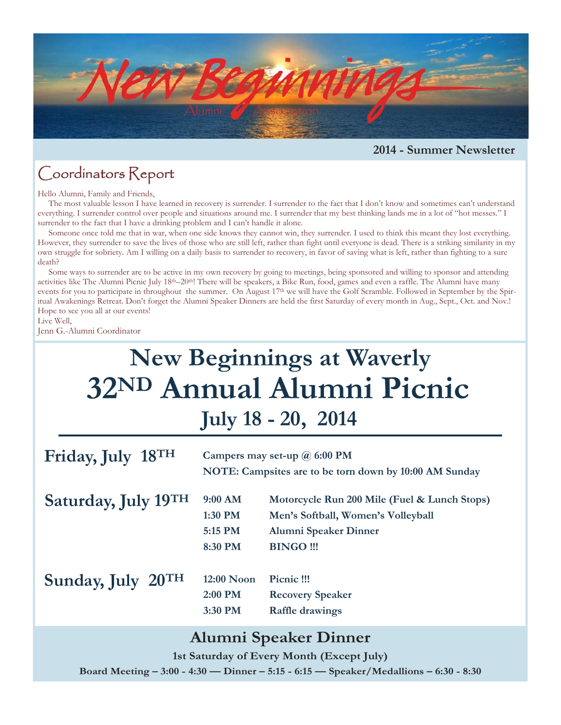

**2014 - Summer Newsletter** 

### Coordinators Report

Hello Alumni, Family and Friends,

 The most valuable lesson I have learned in recovery is surrender. I surrender to the fact that I don't know and sometimes can't understand everything. I surrender control over people and situations around me. I surrender that my best thinking lands me in a lot of "hot messes." I surrender to the fact that I have a drinking problem and I can't handle it alone.

 Someone once told me that in war, when one side knows they cannot win, they surrender. I used to think this meant they lost everything. However, they surrender to save the lives of those who are still left, rather than fight until everyone is dead. There is a striking similarity in my own struggle for sobriety. Am I willing on a daily basis to surrender to recovery, in favor of saving what is left, rather than fighting to a sure death?

 Some ways to surrender are to be active in my own recovery by going to meetings, being sponsored and willing to sponsor and attending activities like The Alumni Picnic July 18th–20th! There will be speakers, a Bike Run, food, games and even a raffle. The Alumni have many events for you to participate in throughout the summer. On August 17<sup>th</sup> we will have the Golf Scramble. Followed in September by the Spiritual Awakenings Retreat. Don't forget the Alumni Speaker Dinners are held the first Saturday of every month in Aug., Sept., Oct. and Nov.! Hope to see you all at our events!

Live Well,

Jenn G.-Alumni Coordinator

# **32ND Annual Alumni Picnic New Beginnings at Waverly July 18 - 20, 2014**

| Friday, July 18TH   | Campers may set-up $\omega$ 6:00 PM<br>NOTE: Campsites are to be torn down by 10:00 AM Sunday |                                                                                                                                |  |  |
|---------------------|-----------------------------------------------------------------------------------------------|--------------------------------------------------------------------------------------------------------------------------------|--|--|
| Saturday, July 19TH | $9:00$ AM<br>1:30 PM<br>5:15 PM<br>8:30 PM                                                    | Motorcycle Run 200 Mile (Fuel & Lunch Stops)<br>Men's Softball, Women's Volleyball<br>Alumni Speaker Dinner<br><b>BINGO!!!</b> |  |  |
| Sunday, July 20TH   | 12:00 Noon<br>2:00 PM<br>3:30 PM                                                              | Picnic !!!<br><b>Recovery Speaker</b><br><b>Raffle drawings</b>                                                                |  |  |

#### **Alumni Speaker Dinner**

**1st Saturday of Every Month (Except July)** 

**Board Meeting – 3:00 - 4:30 — Dinner – 5:15 - 6:15 — Speaker/Medallions – 6:30 - 8:30**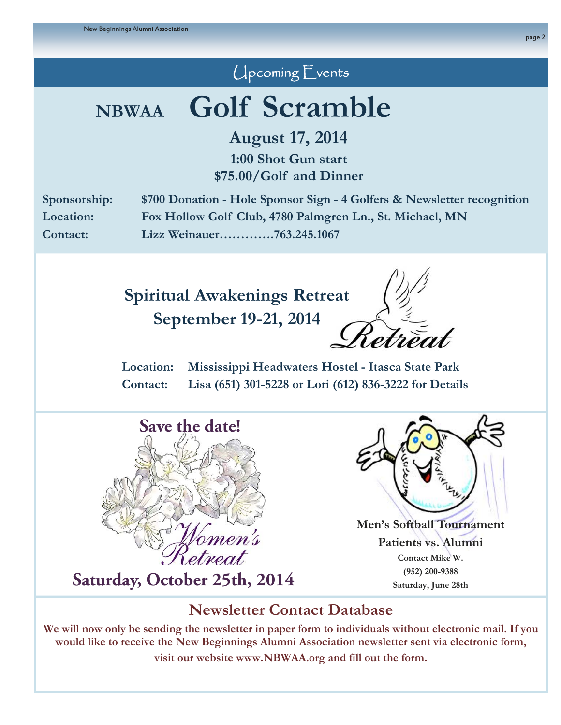## Upcoming Events

# **NBWAA Golf Scramble**

**August 17, 2014** 

**1:00 Shot Gun start \$75.00/Golf and Dinner** 

**Sponsorship: \$700 Donation - Hole Sponsor Sign - 4 Golfers & Newsletter recognition Location: Fox Hollow Golf Club, 4780 Palmgren Ln., St. Michael, MN Contact: Lizz Weinauer………….763.245.1067** 

## **Spiritual Awakenings Retreat**

**September 19-21, 2014**

**Location: Mississippi Headwaters Hostel - Itasca State Park Contact: Lisa (651) 301-5228 or Lori (612) 836-3222 for Details** 



## **Saturday, October 25th, 2014** (952) 200-9388



**Men's Softball Tournament Patients vs. Alumni Contact Mike W.** 

### **Newsletter Contact Database**

**We will now only be sending the newsletter in paper form to individuals without electronic mail. If you would like to receive the New Beginnings Alumni Association newsletter sent via electronic form, visit our website www.NBWAA.org and fill out the form.**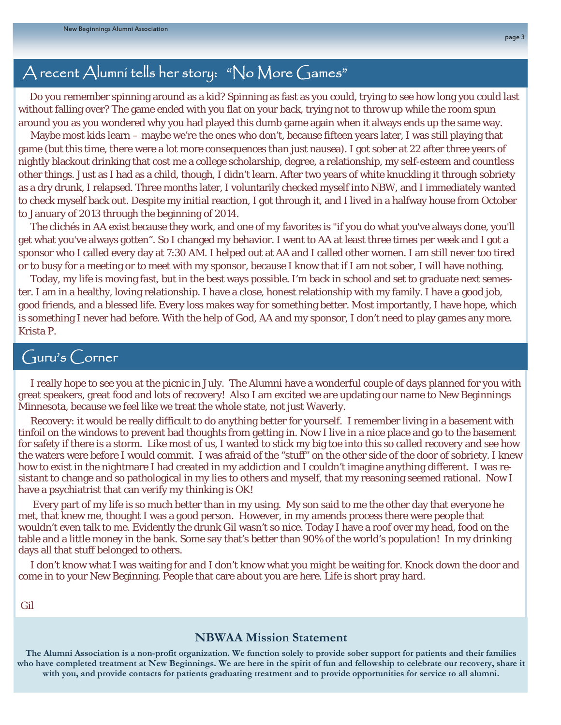### A recent Alumni tells her story: "No More Games"

 Do you remember spinning around as a kid? Spinning as fast as you could, trying to see how long you could last without falling over? The game ended with you flat on your back, trying not to throw up while the room spun around you as you wondered why you had played this dumb game again when it always ends up the same way.

 Maybe most kids learn – maybe we're the ones who don't, because fifteen years later, I was still playing that game (but this time, there were a lot more consequences than just nausea). I got sober at 22 after three years of nightly blackout drinking that cost me a college scholarship, degree, a relationship, my self-esteem and countless other things. Just as I had as a child, though, I didn't learn. After two years of white knuckling it through sobriety as a dry drunk, I relapsed. Three months later, I voluntarily checked myself into NBW, and I immediately wanted to check myself back out. Despite my initial reaction, I got through it, and I lived in a halfway house from October to January of 2013 through the beginning of 2014.

 The clichés in AA exist because they work, and one of my favorites is "if you do what you've always done, you'll get what you've always gotten". So I changed my behavior. I went to AA at least three times per week and I got a sponsor who I called every day at 7:30 AM. I helped out at AA and I called other women. I am still never too tired or to busy for a meeting or to meet with my sponsor, because I know that if I am not sober, I will have nothing.

 Today, my life is moving fast, but in the best ways possible. I'm back in school and set to graduate next semester. I am in a healthy, loving relationship. I have a close, honest relationship with my family. I have a good job, good friends, and a blessed life. Every loss makes way for something better. Most importantly, I have hope, which is something I never had before. With the help of God, AA and my sponsor, I don't need to play games any more. Krista P.

#### Guru's Corner

 I really hope to see you at the picnic in July. The Alumni have a wonderful couple of days planned for you with great speakers, great food and lots of recovery! Also I am excited we are updating our name to New Beginnings Minnesota, because we feel like we treat the whole state, not just Waverly.

 Recovery: it would be really difficult to do anything better for yourself. I remember living in a basement with tinfoil on the windows to prevent bad thoughts from getting in. Now I live in a nice place and go to the basement for safety if there is a storm. Like most of us, I wanted to stick my big toe into this so called recovery and see how the waters were before I would commit. I was afraid of the "stuff" on the other side of the door of sobriety. I knew how to exist in the nightmare I had created in my addiction and I couldn't imagine anything different. I was resistant to change and so pathological in my lies to others and myself, that my reasoning seemed rational. Now I have a psychiatrist that can verify my thinking is OK!

 Every part of my life is so much better than in my using. My son said to me the other day that everyone he met, that knew me, thought I was a good person. However, in my amends process there were people that wouldn't even talk to me. Evidently the drunk Gil wasn't so nice. Today I have a roof over my head, food on the table and a little money in the bank. Some say that's better than 90% of the world's population! In my drinking days all that stuff belonged to others.

 I don't know what I was waiting for and I don't know what you might be waiting for. Knock down the door and come in to your New Beginning. People that care about you are here. Life is short pray hard.

Gil

#### **NBWAA Mission Statement**

**The Alumni Association is a non-profit organization. We function solely to provide sober support for patients and their families who have completed treatment at New Beginnings. We are here in the spirit of fun and fellowship to celebrate our recovery, share it with you, and provide contacts for patients graduating treatment and to provide opportunities for service to all alumni.**